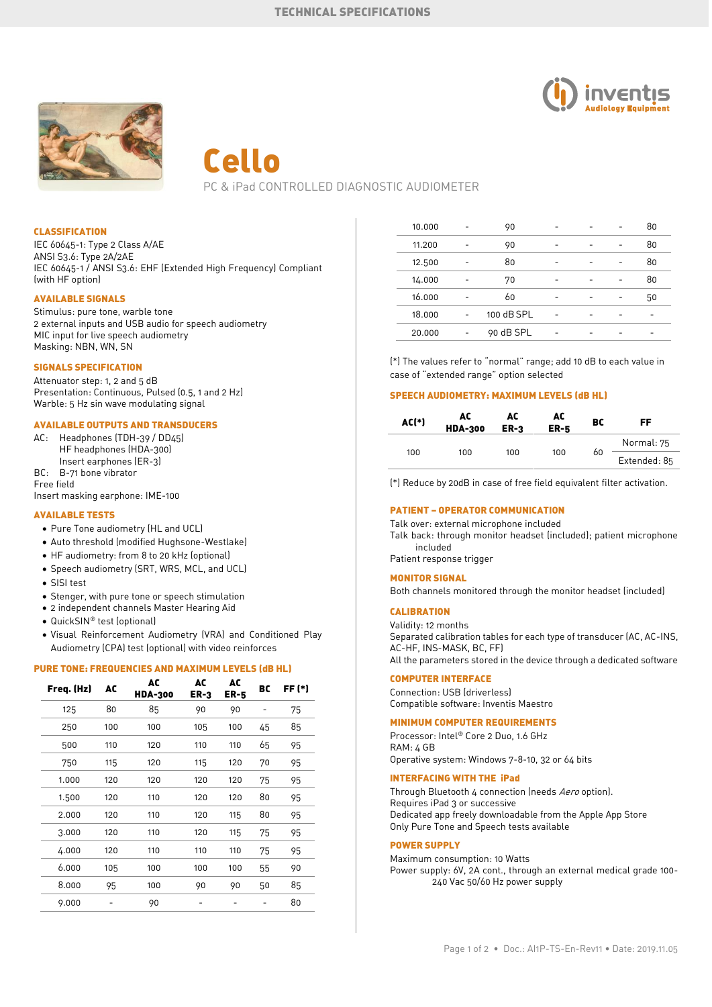



# Cello PC & iPad CONTROLLED DIAGNOSTIC AUDIOMETER

## CLASSIFICATION

IEC 60645-1: Type 2 Class A/AE ANSI S3.6: Type 2A/2AE IEC 60645-1 / ANSI S3.6: EHF (Extended High Frequency) Compliant (with HF option)

# AVAILABLE SIGNALS

Stimulus: pure tone, warble tone 2 external inputs and USB audio for speech audiometry MIC input for live speech audiometry Masking: NBN, WN, SN

#### SIGNALS SPECIFICATION

Attenuator step: 1, 2 and 5 dB Presentation: Continuous, Pulsed (0.5, 1 and 2 Hz) Warble: 5 Hz sin wave modulating signal

# AVAILABLE OUTPUTS AND TRANSDUCERS

AC: Headphones (TDH-39 / DD45) HF headphones (HDA-300) Insert earphones (ER-3) BC: B-71 bone vibrator

Free field Insert masking earphone: IME-100

## AVAILABLE TESTS

- Pure Tone audiometry (HL and UCL)
- Auto threshold (modified Hughsone-Westlake)
- HF audiometry: from 8 to 20 kHz (optional)
- Speech audiometry (SRT, WRS, MCL, and UCL)
- SISI test
- Stenger, with pure tone or speech stimulation
- 2 independent channels Master Hearing Aid
- QuickSIN® test (optional)
- Visual Reinforcement Audiometry (VRA) and Conditioned Play Audiometry (CPA) test (optional) with video reinforces

## PURE TONE: FREQUENCIES AND MAXIMUM LEVELS (dB HL)

| Freq. (Hz) | AC  | AC<br><b>HDA-300</b> | AC<br>$ER-3$ | AC<br>ER-5 | BC | FF (*) |
|------------|-----|----------------------|--------------|------------|----|--------|
| 125        | 80  | 85                   | 90           | 90         |    | 75     |
| 250        | 100 | 100                  | 105          | 100        | 45 | 85     |
| 500        | 110 | 120                  | 110          | 110        | 65 | 95     |
| 750        | 115 | 120                  | 115          | 120        | 70 | 95     |
| 1.000      | 120 | 120                  | 120          | 120        | 75 | 95     |
| 1.500      | 120 | 110                  | 120          | 120        | 80 | 95     |
| 2.000      | 120 | 110                  | 120          | 115        | 80 | 95     |
| 3.000      | 120 | 110                  | 120          | 115        | 75 | 95     |
| 4.000      | 120 | 110                  | 110          | 110        | 75 | 95     |
| 6.000      | 105 | 100                  | 100          | 100        | 55 | 90     |
| 8.000      | 95  | 100                  | 90           | 90         | 50 | 85     |
| 9.000      |     | 90                   |              |            |    | 80     |

| 10.000 | 90         |  | 80 |
|--------|------------|--|----|
| 11.200 | 90         |  | 80 |
| 12.500 | 80         |  | 80 |
| 14.000 | 70         |  | 80 |
| 16.000 | 60         |  | 50 |
| 18.000 | 100 dB SPL |  |    |
| 20.000 | 90 dB SPL  |  |    |
|        |            |  |    |

(\*) The values refer to "normal" range; add 10 dB to each value in case of "extended range" option selected

#### SPEECH AUDIOMETRY: MAXIMUM LEVELS (dB HL)

| AC(*) | AC<br><b>HDA-300</b> | AC<br>$ER-3$ | AC<br><b>ER-5</b> | BC | FF           |
|-------|----------------------|--------------|-------------------|----|--------------|
|       |                      |              |                   | 60 | Normal: 75   |
| 100   | 100                  | 100          | 100               |    | Extended: 85 |

(\*) Reduce by 20dB in case of free field equivalent filter activation.

# PATIENT – OPERATOR COMMUNICATION

Talk over: external microphone included Talk back: through monitor headset (included); patient microphone included Patient response trigger

#### MONITOR SIGNAL

Both channels monitored through the monitor headset (included)

# CALIBRATION

Validity: 12 months Separated calibration tables for each type of transducer (AC, AC-INS, AC-HF, INS-MASK, BC, FF) All the parameters stored in the device through a dedicated software

# COMPUTER INTERFACE

Connection: USB (driverless) Compatible software: Inventis Maestro

#### MINIMUM COMPUTER REQUIREMENTS

Processor: Intel® Core 2 Duo, 1.6 GHz RAM: 4 GB Operative system: Windows 7-8-10, 32 or 64 bits

## INTERFACING WITH THE iPad

Through Bluetooth 4 connection (needs Aero option). Requires iPad 3 or successive Dedicated app freely downloadable from the Apple App Store Only Pure Tone and Speech tests available

## POWER SUPPLY

Maximum consumption: 10 Watts Power supply: 6V, 2A cont., through an external medical grade 100- 240 Vac 50/60 Hz power supply